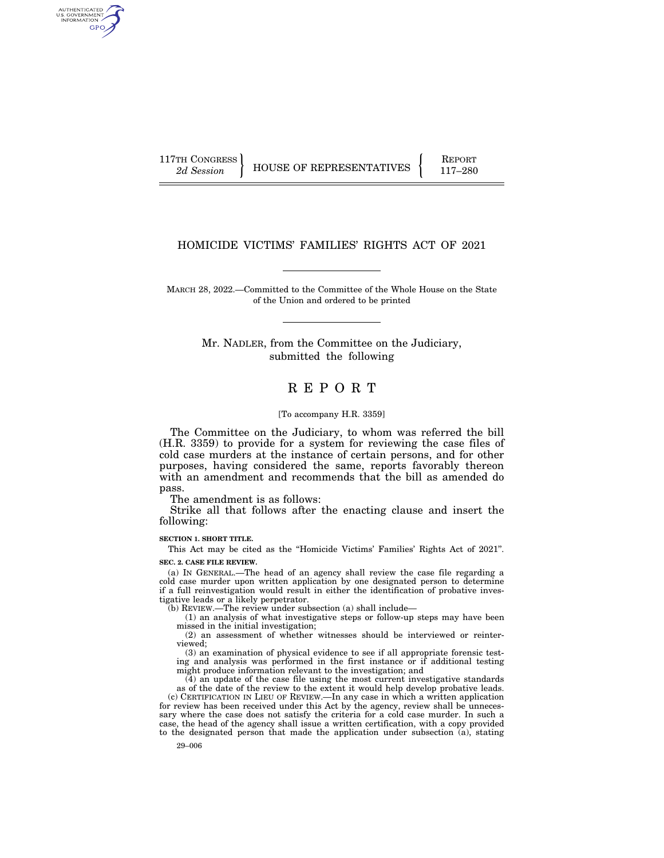AUTHENTICATED<br>U.S. GOVERNMENT<br>INFORMATION **GPO** 

117TH CONGRESS HOUSE OF REPRESENTATIVES FEPORT 117-280

# HOMICIDE VICTIMS' FAMILIES' RIGHTS ACT OF 2021

MARCH 28, 2022.—Committed to the Committee of the Whole House on the State of the Union and ordered to be printed

> Mr. NADLER, from the Committee on the Judiciary, submitted the following

# R E P O R T

#### [To accompany H.R. 3359]

The Committee on the Judiciary, to whom was referred the bill (H.R. 3359) to provide for a system for reviewing the case files of cold case murders at the instance of certain persons, and for other purposes, having considered the same, reports favorably thereon with an amendment and recommends that the bill as amended do pass.

The amendment is as follows:

Strike all that follows after the enacting clause and insert the following:

**SECTION 1. SHORT TITLE.** 

This Act may be cited as the ''Homicide Victims' Families' Rights Act of 2021''. **SEC. 2. CASE FILE REVIEW.** 

(a) IN GENERAL.—The head of an agency shall review the case file regarding a cold case murder upon written application by one designated person to determine if a full reinvestigation would result in either the identification of probative investigative leads or a likely perpetrator.

(b) REVIEW.—The review under subsection (a) shall include—

(1) an analysis of what investigative steps or follow-up steps may have been missed in the initial investigation;

(2) an assessment of whether witnesses should be interviewed or reinterviewed;

(3) an examination of physical evidence to see if all appropriate forensic testing and analysis was performed in the first instance or if additional testing might produce information relevant to the investigation; and

(4) an update of the case file using the most current investigative standards as of the date of the review to the extent it would help develop probative leads. (c) CERTIFICATION IN LIEU OF REVIEW.—In any case in which a written application

for review has been received under this Act by the agency, review shall be unnecessary where the case does not satisfy the criteria for a cold case murder. In such a case, the head of the agency shall issue a written certification, with a copy provided to the designated person that made the application under subsection  $(a)$ , stating

29–006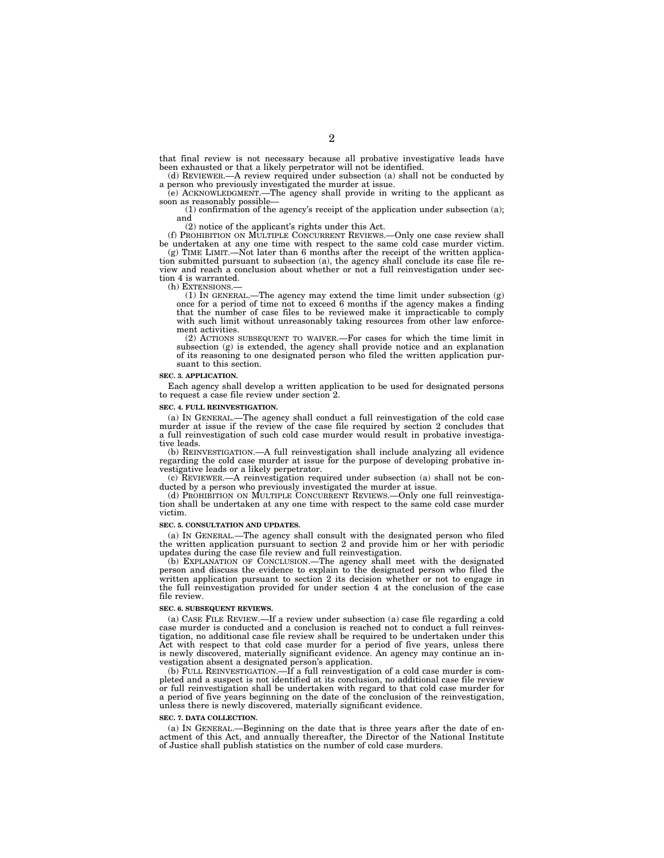that final review is not necessary because all probative investigative leads have been exhausted or that a likely perpetrator will not be identified.

(d) REVIEWER.—A review required under subsection (a) shall not be conducted by a person who previously investigated the murder at issue. (e) ACKNOWLEDGMENT.—The agency shall provide in writing to the applicant as

soon as reasonably possible— (1) confirmation of the agency's receipt of the application under subsection (a); and

(2) notice of the applicant's rights under this Act.

(f) PROHIBITION ON MULTIPLE CONCURRENT REVIEWS.—Only one case review shall be undertaken at any one time with respect to the same cold case murder victim. (g) TIME LIMIT.—Not later than 6 months after the receipt of the written application submitted pursuant to subsection (a), the agency shall conclude its case file review and reach a conclusion about whether or not a full reinvestigation under sec-

tion 4 is warranted.<br>(h) EXTENSIONS.

 $(1)$  IN GENERAL.—The agency may extend the time limit under subsection  $(g)$ once for a period of time not to exceed 6 months if the agency makes a finding that the number of case files to be reviewed make it impracticable to comply with such limit without unreasonably taking resources from other law enforcement activities.

(2) ACTIONS SUBSEQUENT TO WAIVER.—For cases for which the time limit in subsection (g) is extended, the agency shall provide notice and an explanation of its reasoning to one designated person who filed the written application pursuant to this section.

#### **SEC. 3. APPLICATION.**

Each agency shall develop a written application to be used for designated persons to request a case file review under section 2.

#### **SEC. 4. FULL REINVESTIGATION.**

(a) IN GENERAL.—The agency shall conduct a full reinvestigation of the cold case murder at issue if the review of the case file required by section 2 concludes that a full reinvestigation of such cold case murder would result in probative investigative leads.

(b) REINVESTIGATION.—A full reinvestigation shall include analyzing all evidence regarding the cold case murder at issue for the purpose of developing probative investigative leads or a likely perpetrator.

(c) REVIEWER.—A reinvestigation required under subsection (a) shall not be conducted by a person who previously investigated the murder at issue.

(d) PROHIBITION ON MULTIPLE CONCURRENT REVIEWS.—Only one full reinvestigation shall be undertaken at any one time with respect to the same cold case murder victim.

#### **SEC. 5. CONSULTATION AND UPDATES.**

(a) IN GENERAL.—The agency shall consult with the designated person who filed the written application pursuant to section 2 and provide him or her with periodic updates during the case file review and full reinvestigation.

(b) EXPLANATION OF CONCLUSION.—The agency shall meet with the designated person and discuss the evidence to explain to the designated person who filed the written application pursuant to section 2 its decision whether or not to engage in the full reinvestigation provided for under section 4 at the conclusion of the case file review.

#### **SEC. 6. SUBSEQUENT REVIEWS.**

(a) CASE FILE REVIEW.—If a review under subsection (a) case file regarding a cold case murder is conducted and a conclusion is reached not to conduct a full reinvestigation, no additional case file review shall be required to be undertaken under this Act with respect to that cold case murder for a period of five years, unless there is newly discovered, materially significant evidence. An agency may continue an investigation absent a designated person's application.

(b) FULL REINVESTIGATION.—If a full reinvestigation of a cold case murder is completed and a suspect is not identified at its conclusion, no additional case file review or full reinvestigation shall be undertaken with regard to that cold case murder for a period of five years beginning on the date of the conclusion of the reinvestigation, unless there is newly discovered, materially significant evidence.

#### **SEC. 7. DATA COLLECTION.**

(a) IN GENERAL.—Beginning on the date that is three years after the date of enactment of this Act, and annually thereafter, the Director of the National Institute of Justice shall publish statistics on the number of cold case murders.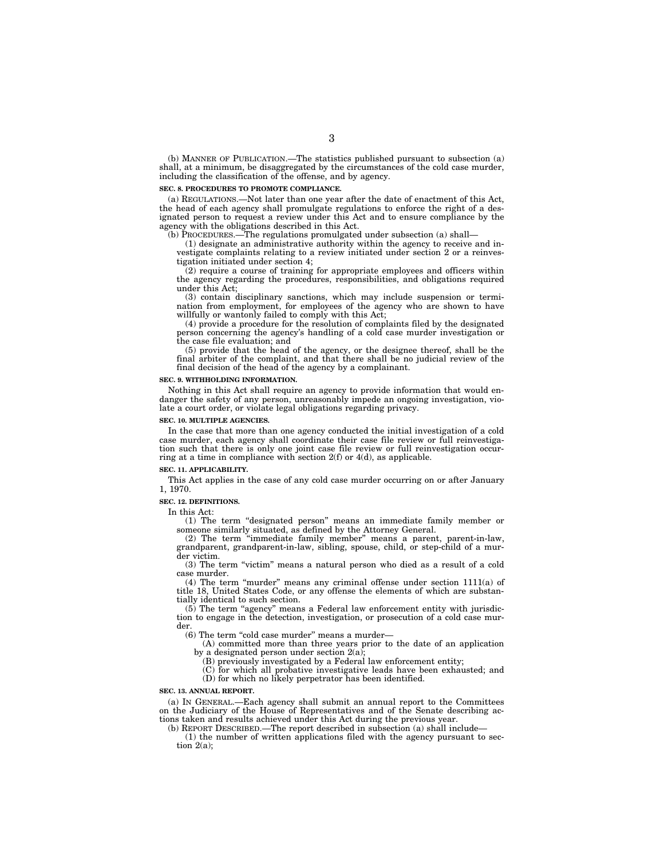(b) MANNER OF PUBLICATION.—The statistics published pursuant to subsection (a) shall, at a minimum, be disaggregated by the circumstances of the cold case murder, including the classification of the offense, and by agency.

#### **SEC. 8. PROCEDURES TO PROMOTE COMPLIANCE.**

(a) REGULATIONS.—Not later than one year after the date of enactment of this Act, the head of each agency shall promulgate regulations to enforce the right of a designated person to request a review under this Act and to ensure compliance by the agency with the obligations described in this Act.

 $\tilde{P}$ (b) PROCEDURES.—The regulations promulgated under subsection (a) shall—

(1) designate an administrative authority within the agency to receive and investigate complaints relating to a review initiated under section 2 or a reinvestigation initiated under section 4;

(2) require a course of training for appropriate employees and officers within the agency regarding the procedures, responsibilities, and obligations required under this Act;

(3) contain disciplinary sanctions, which may include suspension or termination from employment, for employees of the agency who are shown to have willfully or wantonly failed to comply with this Act;

(4) provide a procedure for the resolution of complaints filed by the designated person concerning the agency's handling of a cold case murder investigation or the case file evaluation; and

(5) provide that the head of the agency, or the designee thereof, shall be the final arbiter of the complaint, and that there shall be no judicial review of the final decision of the head of the agency by a complainant.

#### **SEC. 9. WITHHOLDING INFORMATION.**

Nothing in this Act shall require an agency to provide information that would endanger the safety of any person, unreasonably impede an ongoing investigation, violate a court order, or violate legal obligations regarding privacy.

#### **SEC. 10. MULTIPLE AGENCIES.**

In the case that more than one agency conducted the initial investigation of a cold case murder, each agency shall coordinate their case file review or full reinvestigation such that there is only one joint case file review or full reinvestigation occurring at a time in compliance with section  $2(f)$  or  $4(d)$ , as applicable.

### **SEC. 11. APPLICABILITY.**

This Act applies in the case of any cold case murder occurring on or after January 1, 1970.

#### **SEC. 12. DEFINITIONS.**

In this Act:

(1) The term ''designated person'' means an immediate family member or someone similarly situated, as defined by the Attorney General.

(2) The term ''immediate family member'' means a parent, parent-in-law, grandparent, grandparent-in-law, sibling, spouse, child, or step-child of a murder victim.

(3) The term ''victim'' means a natural person who died as a result of a cold case murder.

(4) The term "murder" means any criminal offense under section 1111(a) of title 18, United States Code, or any offense the elements of which are substantially identical to such section.

 $(5)$  The term "agency" means a Federal law enforcement entity with jurisdiction to engage in the detection, investigation, or prosecution of a cold case murder.

(6) The term "cold case murder" means a murder-

(A) committed more than three years prior to the date of an application

by a designated person under section 2(a);

(B) previously investigated by a Federal law enforcement entity;

(C) for which all probative investigative leads have been exhausted; and (D) for which no likely perpetrator has been identified.

#### **SEC. 13. ANNUAL REPORT.**

(a) IN GENERAL.—Each agency shall submit an annual report to the Committees on the Judiciary of the House of Representatives and of the Senate describing actions taken and results achieved under this Act during the previous year.

(b) REPORT DESCRIBED.—The report described in subsection (a) shall include—

(1) the number of written applications filed with the agency pursuant to section 2(a);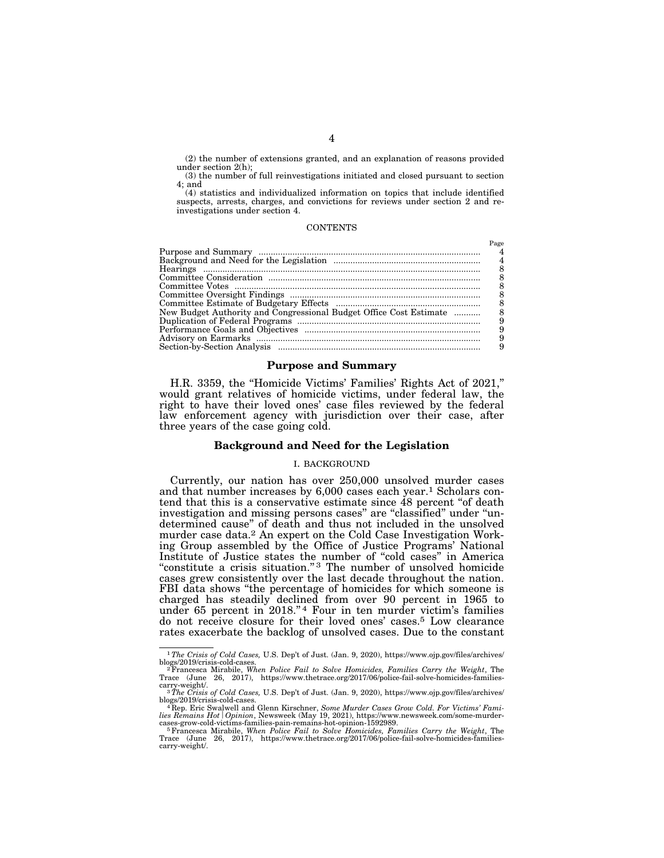(2) the number of extensions granted, and an explanation of reasons provided under section 2(h);

(3) the number of full reinvestigations initiated and closed pursuant to section 4; and

(4) statistics and individualized information on topics that include identified suspects, arrests, charges, and convictions for reviews under section 2 and reinvestigations under section 4.

 $D_{\alpha\alpha\alpha}$ 

#### CONTENTS

| New Budget Authority and Congressional Budget Office Cost Estimate |  |
|--------------------------------------------------------------------|--|
|                                                                    |  |
|                                                                    |  |
|                                                                    |  |
|                                                                    |  |
|                                                                    |  |

#### **Purpose and Summary**

H.R. 3359, the ''Homicide Victims' Families' Rights Act of 2021,'' would grant relatives of homicide victims, under federal law, the right to have their loved ones' case files reviewed by the federal law enforcement agency with jurisdiction over their case, after three years of the case going cold.

#### **Background and Need for the Legislation**

### I. BACKGROUND

Currently, our nation has over 250,000 unsolved murder cases and that number increases by 6,000 cases each year.<sup>1</sup> Scholars contend that this is a conservative estimate since 48 percent ''of death investigation and missing persons cases'' are ''classified'' under ''undetermined cause'' of death and thus not included in the unsolved murder case data.2 An expert on the Cold Case Investigation Working Group assembled by the Office of Justice Programs' National Institute of Justice states the number of ''cold cases'' in America "constitute a crisis situation."<sup>3</sup> The number of unsolved homicide cases grew consistently over the last decade throughout the nation. FBI data shows "the percentage of homicides for which someone is charged has steadily declined from over 90 percent in 1965 to under 65 percent in 2018."<sup>4</sup> Four in ten murder victim's families do not receive closure for their loved ones' cases.5 Low clearance rates exacerbate the backlog of unsolved cases. Due to the constant

<sup>1</sup>*The Crisis of Cold Cases,* U.S. Dep't of Just. (Jan. 9, 2020), https://www.ojp.gov/files/archives/

blogs/2019/crisis-cold-cases.<br><sup>22</sup>Francesca Mirabile, W*hen Police Fail to Solve Homicides, Families Carry the Weight,* The<br>Trace (June 26, 2017), https://www.thetrace.org/2017/06/police-fail-solve-homicides-families-

carry-weight/. 3*The Crisis of Cold Cases*, U.S. Dep't of Just. (Jan. 9, 2020), https://www.ojp.gov/files/archives/<br>blogs/2019/crisis-cold-cases.

blogs/2019/crisis-cold-cases.<br><sup>4</sup> Rep. Eric Swalwell and Glenn Kirschner, *Some Murder Cases Grow Cold. For Victims' Fami-*<br>li*es Remains Hot | Opinion*, Newsweek (May 19, 2021), https://www.newsweek.com/some-murder-

cases-grow-cold-victims-families-pain-remains-hot-opinion-1592989.<br><sup>5</sup> Francesca Mirabile, *When Police Fail to Solve Homicides, Families Carry the Weight*, The<br>Trace (June 26, 2017), https://www.thetrace.org/2017/06/polic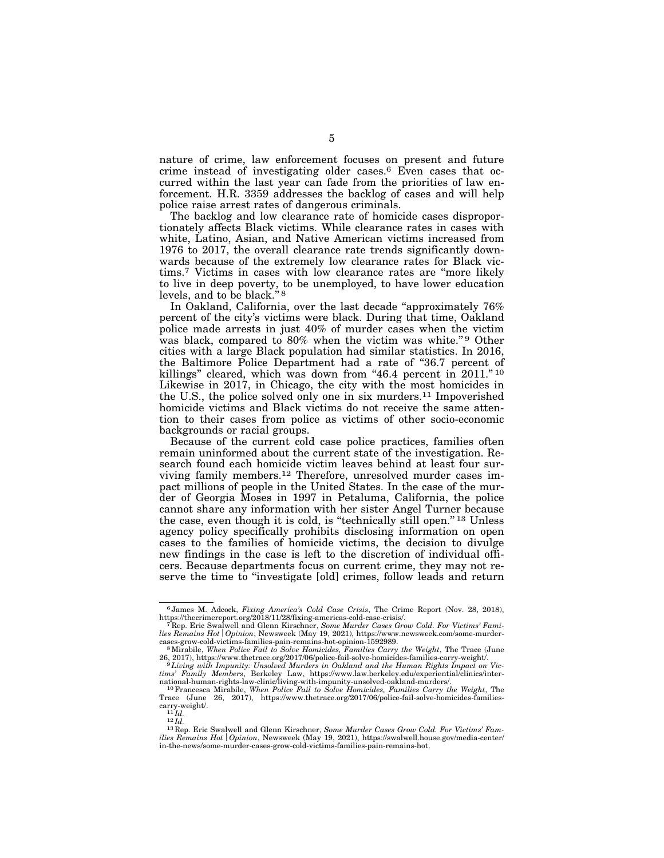nature of crime, law enforcement focuses on present and future crime instead of investigating older cases.6 Even cases that occurred within the last year can fade from the priorities of law enforcement. H.R. 3359 addresses the backlog of cases and will help police raise arrest rates of dangerous criminals.

The backlog and low clearance rate of homicide cases disproportionately affects Black victims. While clearance rates in cases with white, Latino, Asian, and Native American victims increased from 1976 to 2017, the overall clearance rate trends significantly downwards because of the extremely low clearance rates for Black victims.7 Victims in cases with low clearance rates are ''more likely to live in deep poverty, to be unemployed, to have lower education levels, and to be black."<sup>8</sup>

In Oakland, California, over the last decade "approximately 76% percent of the city's victims were black. During that time, Oakland police made arrests in just 40% of murder cases when the victim was black, compared to 80% when the victim was white."<sup>9</sup> Other cities with a large Black population had similar statistics. In 2016, the Baltimore Police Department had a rate of "36.7 percent of killings" cleared, which was down from "46.4 percent in  $2011$ ."<sup>10</sup> Likewise in 2017, in Chicago, the city with the most homicides in the U.S., the police solved only one in six murders.11 Impoverished homicide victims and Black victims do not receive the same attention to their cases from police as victims of other socio-economic backgrounds or racial groups.

Because of the current cold case police practices, families often remain uninformed about the current state of the investigation. Research found each homicide victim leaves behind at least four surviving family members.12 Therefore, unresolved murder cases impact millions of people in the United States. In the case of the murder of Georgia Moses in 1997 in Petaluma, California, the police cannot share any information with her sister Angel Turner because the case, even though it is cold, is ''technically still open.'' 13 Unless agency policy specifically prohibits disclosing information on open cases to the families of homicide victims, the decision to divulge new findings in the case is left to the discretion of individual officers. Because departments focus on current crime, they may not reserve the time to ''investigate [old] crimes, follow leads and return

<sup>&</sup>lt;sup>6</sup> James M. Adcock, *Fixing America's Cold Case Crisis*, The Crime Report (Nov. 28, 2018), https://thecrimereport.org/2018/11/28/fixing-americas-cold-case-crisis/.

<sup>&</sup>lt;sup>7</sup>Rep. Eric Swalwell and Glenn Kirschner, Some Murder Cases Grow Cold. For Victims' Fami*lies Remains Hot | Opinion*, Newsweek (May 19, 2021), https://www.newsweek.com/some-murder-cases-grow-cold-victims-families-pain-remains-hot-opinion-1592989.

<sup>&</sup>lt;sup>8</sup> Mirabile, *When Police Fail to Solve Homicides, Families Carry the Weight*, The Trace (June 26, 2017), https://www.thetrace.org/2017/06/police-fail-solve-homicides-families-carry-weight/. <sup>9</sup> Living with Impunity: Unsolved Murders in Oakland and the Human Rights Impact on Vic-

*tims' Family Members*, Berkeley Law, https://www.law.berkeley.edu/experiential/clinics/inter-

<sup>&</sup>lt;sup>10</sup> Francesca Mirabile, *When Police Fail to Solve Homicides, Families Carry the Weight*, The Trace (June 26, 2017), https://www.thetrace.org/2017/06/police-fail-solve-homicides-families-<br>carry-weight/.<br> $^{11}Id$ .

<sup>&</sup>lt;sup>12</sup> *Id.* **12**  *Id.* **21** *Carry-weight* **and Glenn Kirschner,** *Some Murder Cases Grow Cold. For Victims' Families Remains Hot <i>Opinion*, Newsweek (May 19, 2021), https://swalwell.house.gov/media-center/ in-the-news/some-murder-cases-grow-cold-victims-families-pain-remains-hot.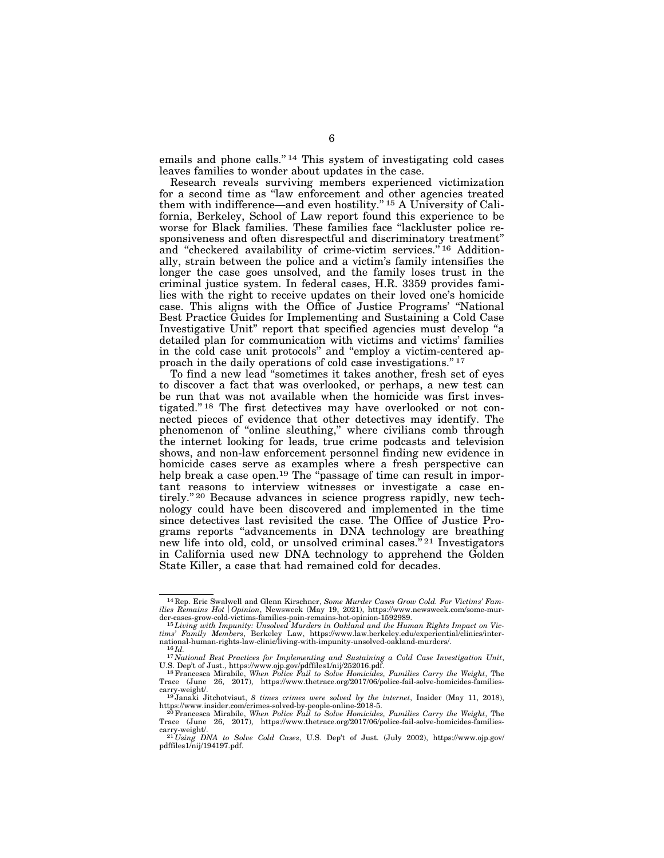emails and phone calls."<sup>14</sup> This system of investigating cold cases leaves families to wonder about updates in the case.

Research reveals surviving members experienced victimization for a second time as ''law enforcement and other agencies treated them with indifference—and even hostility.'' 15 A University of California, Berkeley, School of Law report found this experience to be worse for Black families. These families face ''lackluster police responsiveness and often disrespectful and discriminatory treatment'' and "checkered availability of crime-victim services."<sup>16</sup> Additionally, strain between the police and a victim's family intensifies the longer the case goes unsolved, and the family loses trust in the criminal justice system. In federal cases, H.R. 3359 provides families with the right to receive updates on their loved one's homicide case. This aligns with the Office of Justice Programs' ''National Best Practice Guides for Implementing and Sustaining a Cold Case Investigative Unit'' report that specified agencies must develop ''a detailed plan for communication with victims and victims' families in the cold case unit protocols'' and ''employ a victim-centered approach in the daily operations of cold case investigations.'' 17

To find a new lead ''sometimes it takes another, fresh set of eyes to discover a fact that was overlooked, or perhaps, a new test can be run that was not available when the homicide was first investigated.'' 18 The first detectives may have overlooked or not connected pieces of evidence that other detectives may identify. The phenomenon of ''online sleuthing,'' where civilians comb through the internet looking for leads, true crime podcasts and television shows, and non-law enforcement personnel finding new evidence in homicide cases serve as examples where a fresh perspective can help break a case open.<sup>19</sup> The "passage of time can result in important reasons to interview witnesses or investigate a case entirely."<sup>20</sup> Because advances in science progress rapidly, new technology could have been discovered and implemented in the time since detectives last revisited the case. The Office of Justice Programs reports ''advancements in DNA technology are breathing new life into old, cold, or unsolved criminal cases."<sup>21</sup> Investigators in California used new DNA technology to apprehend the Golden State Killer, a case that had remained cold for decades.

<sup>14</sup> Rep. Eric Swalwell and Glenn Kirschner, *Some Murder Cases Grow Cold. For Victims' Families Remains Hot | Opinion*, Newsweek (May 19, 2021), https://www.newsweek.com/some-mur-<br>der-cases-grow-cold-victims-families-pain-remains-hot-opinion-1592989.

<sup>&</sup>lt;sup>15</sup> Living with Impunity: Unsolved Murders in Oakland and the Human Rights Impact on Vic*tims' Family Members*, Berkeley Law, https://www.law.berkeley.edu/experiential/clinics/inter-

national-murders-law-clinical-oakland-oakland-oakland-oakland-oakland-oakland-murders-oakland-murders-oakland-<br><sup>17</sup> *National Best Practices for Implementing and Sustaining a Cold Case Investigation Unit*, U.S. Dep't of Just., https://www.ojp.gov/pdffiles1/nij/252016.pdf. 18Francesca Mirabile, *When Police Fail to Solve Homicides, Families Carry the Weight*, The

Trace (June 26, 2017), https://www.thetrace.org/2017/06/police-fail-solve-homicides-families-<br>carry-weight/.

<sup>&</sup>lt;sup>19</sup> Janaki Jitchotvisut, *8 times crimes were solved by the internet*, Insider (May 11, 2018), https://www.insider.com/crimes-solved-by-people-online-2018-5.

 $h^{20}$ Francesca Mirabile, *When Police Fail to Solve Homicides, Families Carry the Weight*, The Trace (June 26, 2017), https://www.thetrace.org/2017/06/police-fail-solve-homicides-families-

<sup>&</sup>lt;sup>21</sup> *Using DNA to Solve Cold Cases*, U.S. Dep't of Just. (July 2002), https://www.ojp.gov/ pdffiles1/nij/194197.pdf.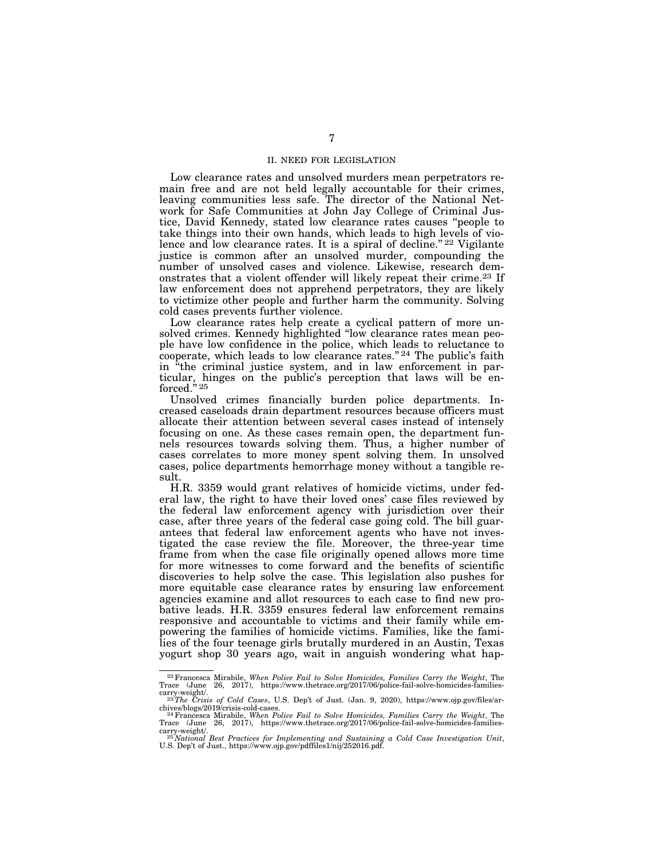### II. NEED FOR LEGISLATION

Low clearance rates and unsolved murders mean perpetrators remain free and are not held legally accountable for their crimes, leaving communities less safe. The director of the National Network for Safe Communities at John Jay College of Criminal Justice, David Kennedy, stated low clearance rates causes ''people to take things into their own hands, which leads to high levels of violence and low clearance rates. It is a spiral of decline."<sup>22</sup> Vigilante justice is common after an unsolved murder, compounding the number of unsolved cases and violence. Likewise, research demonstrates that a violent offender will likely repeat their crime.23 If law enforcement does not apprehend perpetrators, they are likely to victimize other people and further harm the community. Solving cold cases prevents further violence.

Low clearance rates help create a cyclical pattern of more unsolved crimes. Kennedy highlighted ''low clearance rates mean people have low confidence in the police, which leads to reluctance to cooperate, which leads to low clearance rates."<sup>24</sup> The public's faith in ''the criminal justice system, and in law enforcement in particular, hinges on the public's perception that laws will be en- $\rm forced.$ "25

Unsolved crimes financially burden police departments. Increased caseloads drain department resources because officers must allocate their attention between several cases instead of intensely focusing on one. As these cases remain open, the department funnels resources towards solving them. Thus, a higher number of cases correlates to more money spent solving them. In unsolved cases, police departments hemorrhage money without a tangible result.

H.R. 3359 would grant relatives of homicide victims, under federal law, the right to have their loved ones' case files reviewed by the federal law enforcement agency with jurisdiction over their case, after three years of the federal case going cold. The bill guarantees that federal law enforcement agents who have not investigated the case review the file. Moreover, the three-year time frame from when the case file originally opened allows more time for more witnesses to come forward and the benefits of scientific discoveries to help solve the case. This legislation also pushes for more equitable case clearance rates by ensuring law enforcement agencies examine and allot resources to each case to find new probative leads. H.R. 3359 ensures federal law enforcement remains responsive and accountable to victims and their family while empowering the families of homicide victims. Families, like the families of the four teenage girls brutally murdered in an Austin, Texas yogurt shop 30 years ago, wait in anguish wondering what hap-

<sup>22</sup>Francesca Mirabile, *When Police Fail to Solve Homicides, Families Carry the Weight*, The Trace (June 26, 2017), https://www.thetrace.org/2017/06/police-fail-solve-homicides-families-

carry-weight/. 23*The Crisis of Cold Cases*, U.S. Dep't of Just. (Jan. 9, 2020), https://www.ojp.gov/files/ar-

chives/blogs/2019/crisis-cold-cases.<br><sup>24</sup>Francesca Mirabile, *When Police Fail to Solve Homicides, Families Carry the Weight*, The<br>Trace (June 26, 2017), https://www.thetrace.org/2017/06/police-fail-solve-homicides-familie

carry-weight/.<br><sup>25</sup> National Best Practices for Implementing and Sustaining a Cold Case Investigation Unit,<br>U.S. Dep't of Just., https://www.ojp.gov/pdffiles1/nij/252016.pdf.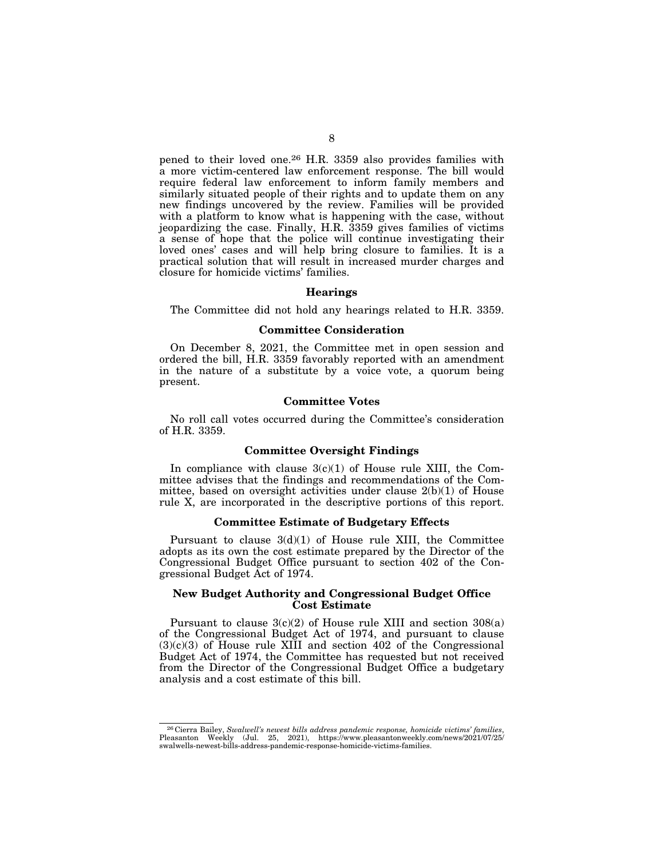pened to their loved one.26 H.R. 3359 also provides families with a more victim-centered law enforcement response. The bill would require federal law enforcement to inform family members and similarly situated people of their rights and to update them on any new findings uncovered by the review. Families will be provided with a platform to know what is happening with the case, without jeopardizing the case. Finally, H.R. 3359 gives families of victims a sense of hope that the police will continue investigating their loved ones' cases and will help bring closure to families. It is a practical solution that will result in increased murder charges and closure for homicide victims' families.

# **Hearings**

The Committee did not hold any hearings related to H.R. 3359.

### **Committee Consideration**

On December 8, 2021, the Committee met in open session and ordered the bill, H.R. 3359 favorably reported with an amendment in the nature of a substitute by a voice vote, a quorum being present.

# **Committee Votes**

No roll call votes occurred during the Committee's consideration of H.R. 3359.

# **Committee Oversight Findings**

In compliance with clause  $3(c)(1)$  of House rule XIII, the Committee advises that the findings and recommendations of the Committee, based on oversight activities under clause 2(b)(1) of House rule X, are incorporated in the descriptive portions of this report.

# **Committee Estimate of Budgetary Effects**

Pursuant to clause  $3(d)(1)$  of House rule XIII, the Committee adopts as its own the cost estimate prepared by the Director of the Congressional Budget Office pursuant to section 402 of the Congressional Budget Act of 1974.

### **New Budget Authority and Congressional Budget Office Cost Estimate**

Pursuant to clause  $3(c)(2)$  of House rule XIII and section  $308(a)$ of the Congressional Budget Act of 1974, and pursuant to clause  $(3)(c)(3)$  of House rule XIII and section 402 of the Congressional Budget Act of 1974, the Committee has requested but not received from the Director of the Congressional Budget Office a budgetary analysis and a cost estimate of this bill.

<sup>26</sup> Cierra Bailey, *Swalwell's newest bills address pandemic response, homicide victims' families*, Pleasanton Weekly (Jul. 25, 2021), https://www.pleasantonweekly.com/news/2021/07/25/ swalwells-newest-bills-address-pandemic-response-homicide-victims-families.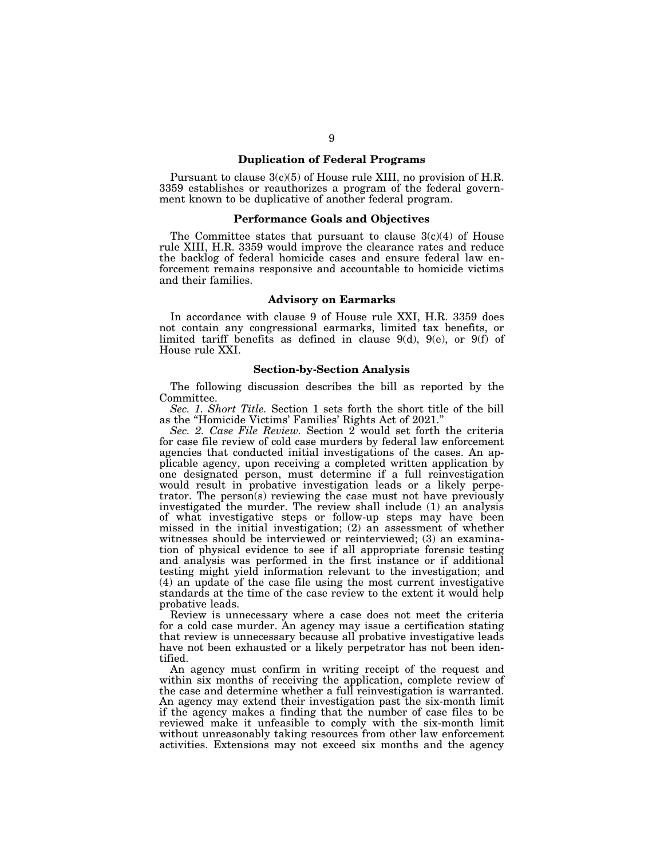# **Duplication of Federal Programs**

Pursuant to clause 3(c)(5) of House rule XIII, no provision of H.R. 3359 establishes or reauthorizes a program of the federal government known to be duplicative of another federal program.

### **Performance Goals and Objectives**

The Committee states that pursuant to clause  $3(c)(4)$  of House rule XIII, H.R. 3359 would improve the clearance rates and reduce the backlog of federal homicide cases and ensure federal law enforcement remains responsive and accountable to homicide victims and their families.

### **Advisory on Earmarks**

In accordance with clause 9 of House rule XXI, H.R. 3359 does not contain any congressional earmarks, limited tax benefits, or limited tariff benefits as defined in clause 9(d), 9(e), or 9(f) of House rule XXI.

# **Section-by-Section Analysis**

The following discussion describes the bill as reported by the Committee.

*Sec. 1. Short Title.* Section 1 sets forth the short title of the bill as the ''Homicide Victims' Families' Rights Act of 2021.''

*Sec. 2. Case File Review.* Section 2 would set forth the criteria for case file review of cold case murders by federal law enforcement agencies that conducted initial investigations of the cases. An applicable agency, upon receiving a completed written application by one designated person, must determine if a full reinvestigation would result in probative investigation leads or a likely perpetrator. The person(s) reviewing the case must not have previously investigated the murder. The review shall include (1) an analysis of what investigative steps or follow-up steps may have been missed in the initial investigation; (2) an assessment of whether witnesses should be interviewed or reinterviewed; (3) an examination of physical evidence to see if all appropriate forensic testing and analysis was performed in the first instance or if additional testing might yield information relevant to the investigation; and (4) an update of the case file using the most current investigative standards at the time of the case review to the extent it would help probative leads.

Review is unnecessary where a case does not meet the criteria for a cold case murder. An agency may issue a certification stating that review is unnecessary because all probative investigative leads have not been exhausted or a likely perpetrator has not been identified.

An agency must confirm in writing receipt of the request and within six months of receiving the application, complete review of the case and determine whether a full reinvestigation is warranted. An agency may extend their investigation past the six-month limit if the agency makes a finding that the number of case files to be reviewed make it unfeasible to comply with the six-month limit without unreasonably taking resources from other law enforcement activities. Extensions may not exceed six months and the agency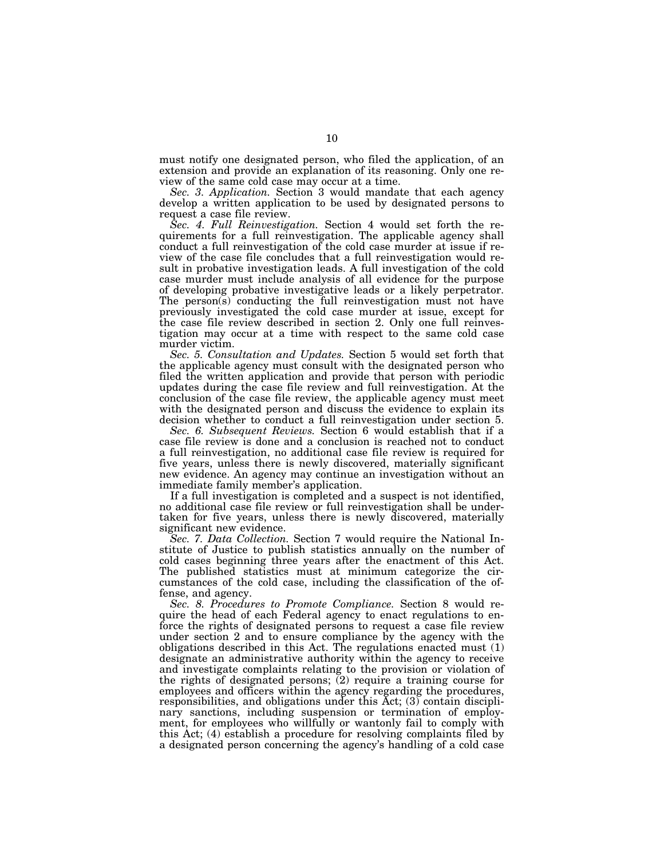must notify one designated person, who filed the application, of an extension and provide an explanation of its reasoning. Only one review of the same cold case may occur at a time.

*Sec. 3. Application.* Section 3 would mandate that each agency develop a written application to be used by designated persons to request a case file review.

*Sec. 4. Full Reinvestigation.* Section 4 would set forth the requirements for a full reinvestigation. The applicable agency shall conduct a full reinvestigation of the cold case murder at issue if review of the case file concludes that a full reinvestigation would result in probative investigation leads. A full investigation of the cold case murder must include analysis of all evidence for the purpose of developing probative investigative leads or a likely perpetrator. The person(s) conducting the full reinvestigation must not have previously investigated the cold case murder at issue, except for the case file review described in section 2. Only one full reinvestigation may occur at a time with respect to the same cold case murder victim.

*Sec. 5. Consultation and Updates.* Section 5 would set forth that the applicable agency must consult with the designated person who filed the written application and provide that person with periodic updates during the case file review and full reinvestigation. At the conclusion of the case file review, the applicable agency must meet with the designated person and discuss the evidence to explain its decision whether to conduct a full reinvestigation under section 5.

*Sec. 6. Subsequent Reviews.* Section 6 would establish that if a case file review is done and a conclusion is reached not to conduct a full reinvestigation, no additional case file review is required for five years, unless there is newly discovered, materially significant new evidence. An agency may continue an investigation without an immediate family member's application.

If a full investigation is completed and a suspect is not identified, no additional case file review or full reinvestigation shall be undertaken for five years, unless there is newly discovered, materially significant new evidence.

*Sec. 7. Data Collection.* Section 7 would require the National Institute of Justice to publish statistics annually on the number of cold cases beginning three years after the enactment of this Act. The published statistics must at minimum categorize the circumstances of the cold case, including the classification of the offense, and agency.

*Sec. 8. Procedures to Promote Compliance.* Section 8 would require the head of each Federal agency to enact regulations to enforce the rights of designated persons to request a case file review under section 2 and to ensure compliance by the agency with the obligations described in this Act. The regulations enacted must (1) designate an administrative authority within the agency to receive and investigate complaints relating to the provision or violation of the rights of designated persons; (2) require a training course for employees and officers within the agency regarding the procedures, responsibilities, and obligations under this Act; (3) contain disciplinary sanctions, including suspension or termination of employment, for employees who willfully or wantonly fail to comply with this Act; (4) establish a procedure for resolving complaints filed by a designated person concerning the agency's handling of a cold case